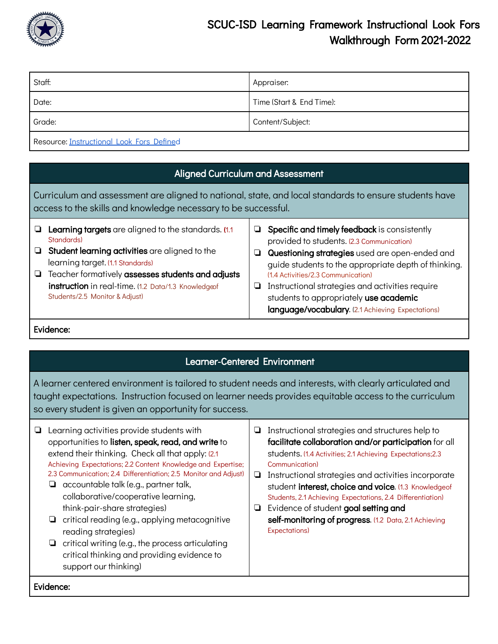

## SCUC-ISD Learning Framework Instructional Look Fors Walkthrough Form 2021-2022

| Staff:                                                     | Appraiser:               |  |
|------------------------------------------------------------|--------------------------|--|
| Date:                                                      | Time (Start & End Time): |  |
| Grade:                                                     | Content/Subject:         |  |
| $\mathbf{r}$ , and the state of $\mathbf{r}$<br>$\sqrt{2}$ |                          |  |

Resource: [Instructional](https://docs.google.com/document/d/1xMCXdRqpNeq7wR3qjXdLSGoNcyuZnEWGboUCzqB23EE/edit) Look Fors Defined

| <b>Aligned Curriculum and Assessment</b>                                                                                                                                |                                                                                                                                                                                                                                                                                                        |        |                                                                                                                                                                                                                                                                                                                                                                                             |  |
|-------------------------------------------------------------------------------------------------------------------------------------------------------------------------|--------------------------------------------------------------------------------------------------------------------------------------------------------------------------------------------------------------------------------------------------------------------------------------------------------|--------|---------------------------------------------------------------------------------------------------------------------------------------------------------------------------------------------------------------------------------------------------------------------------------------------------------------------------------------------------------------------------------------------|--|
| Curriculum and assessment are aligned to national, state, and local standards to ensure students have<br>access to the skills and knowledge necessary to be successful. |                                                                                                                                                                                                                                                                                                        |        |                                                                                                                                                                                                                                                                                                                                                                                             |  |
| ❏                                                                                                                                                                       | Learning targets are aligned to the standards. (1.1)<br>Standards)<br>Student learning activities are aligned to the<br>learning target. (1.1 Standards)<br>Teacher formatively assesses students and adjusts<br>instruction in real-time. (1.2 Data/1.3 Knowledgeof<br>Students/2.5 Monitor & Adjust) | Ч<br>U | Specific and timely feedback is consistently<br>provided to students. (2.3 Communication)<br>Questioning strategies used are open-ended and<br>quide students to the appropriate depth of thinking.<br>(1.4 Activities/2.3 Communication)<br>Instructional strategies and activities require<br>students to appropriately use academic<br>language/vocabulary. (2.1 Achieving Expectations) |  |

Evidence:

## Learner-Centered Environment

A learner centered environment is tailored to student needs and interests, with clearly articulated and taught expectations. Instruction focused on learner needs provides equitable access to the curriculum so every student is given an opportunity for success.

| ⊔         | Learning activities provide students with<br>opportunities to listen, speak, read, and write to<br>extend their thinking. Check all that apply: (2.1)<br>Achieving Expectations; 2.2 Content Knowledge and Expertise;<br>2.3 Communication; 2.4 Differentiation; 2.5 Monitor and Adjust)<br>accountable talk (e.g., partner talk,<br>collaborative/cooperative learning,<br>think-pair-share strategies)<br>$\Box$ critical reading (e.g., applying metacognitive<br>reading strategies)<br>critical writing (e.g., the process articulating<br>⊔<br>critical thinking and providing evidence to<br>support our thinking) | ⊔<br>❏<br>⊔ | Instructional strategies and structures help to<br>facilitate collaboration and/or participation for all<br>students. (1.4 Activities; 2.1 Achieving Expectations; 2.3<br>Communication)<br>Instructional strategies and activities incorporate<br>student interest, choice and voice. (1.3 Knowledgeof<br>Students, 2.1 Achieving Expectations, 2.4 Differentiation)<br>Evidence of student goal setting and<br>self-monitoring of progress. (1.2 Data, 2.1 Achieving<br>Expectations) |
|-----------|---------------------------------------------------------------------------------------------------------------------------------------------------------------------------------------------------------------------------------------------------------------------------------------------------------------------------------------------------------------------------------------------------------------------------------------------------------------------------------------------------------------------------------------------------------------------------------------------------------------------------|-------------|-----------------------------------------------------------------------------------------------------------------------------------------------------------------------------------------------------------------------------------------------------------------------------------------------------------------------------------------------------------------------------------------------------------------------------------------------------------------------------------------|
| Evidence: |                                                                                                                                                                                                                                                                                                                                                                                                                                                                                                                                                                                                                           |             |                                                                                                                                                                                                                                                                                                                                                                                                                                                                                         |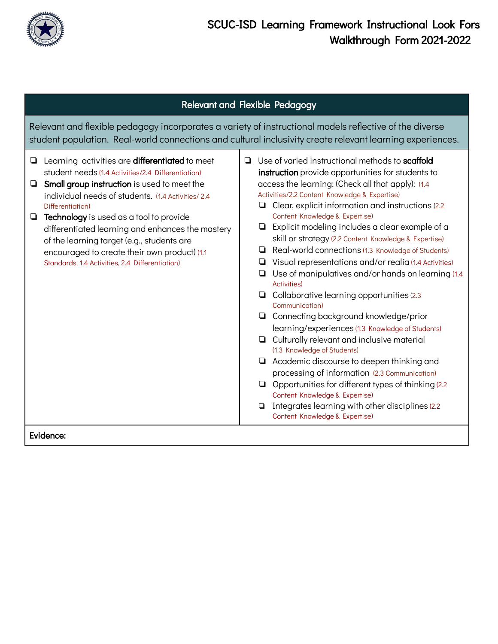

| <b>Relevant and Flexible Pedagogy</b>                                                                                                                                                                                                                                                                                                                                                                                                                                                              |                                                                                                                                                                                                                                                                                                                                                                                                                                                                                                                                                                                                                                                                                                                                                                                                                                                                                                                                                                                                                                                                                                                                                                                    |  |  |
|----------------------------------------------------------------------------------------------------------------------------------------------------------------------------------------------------------------------------------------------------------------------------------------------------------------------------------------------------------------------------------------------------------------------------------------------------------------------------------------------------|------------------------------------------------------------------------------------------------------------------------------------------------------------------------------------------------------------------------------------------------------------------------------------------------------------------------------------------------------------------------------------------------------------------------------------------------------------------------------------------------------------------------------------------------------------------------------------------------------------------------------------------------------------------------------------------------------------------------------------------------------------------------------------------------------------------------------------------------------------------------------------------------------------------------------------------------------------------------------------------------------------------------------------------------------------------------------------------------------------------------------------------------------------------------------------|--|--|
| Relevant and flexible pedagogy incorporates a variety of instructional models reflective of the diverse<br>student population. Real-world connections and cultural inclusivity create relevant learning experiences.                                                                                                                                                                                                                                                                               |                                                                                                                                                                                                                                                                                                                                                                                                                                                                                                                                                                                                                                                                                                                                                                                                                                                                                                                                                                                                                                                                                                                                                                                    |  |  |
| Learning activities are <b>differentiated</b> to meet<br>❏<br>student needs (1.4 Activities/2.4 Differentiation)<br>Small group instruction is used to meet the<br>❏<br>individual needs of students. (1.4 Activities/2.4<br>Differentiation)<br>Technology is used as a tool to provide<br>❏<br>differentiated learning and enhances the mastery<br>of the learning target (e.g., students are<br>encouraged to create their own product) (1.1<br>Standards, 1.4 Activities, 2.4 Differentiation) | Use of varied instructional methods to scaffold<br>◘<br>instruction provide opportunities for students to<br>access the learning: (Check all that apply): (1.4<br>Activities/2.2 Content Knowledge & Expertise)<br>$\Box$ Clear, explicit information and instructions (2.2)<br>Content Knowledge & Expertise)<br>Explicit modeling includes a clear example of a<br>skill or strategy (2.2 Content Knowledge & Expertise)<br>Real-world connections (1.3 Knowledge of Students)<br>▫<br>Visual representations and/or realia (1.4 Activities)<br>❏<br>Use of manipulatives and/or hands on learning (1.4)<br><b>Activities</b> )<br>Collaborative learning opportunities (2.3)<br>u<br>Communication)<br>□ Connecting background knowledge/prior<br>learning/experiences (1.3 Knowledge of Students)<br>Culturally relevant and inclusive material<br>(1.3 Knowledge of Students)<br>$\Box$ Academic discourse to deepen thinking and<br>processing of information (2.3 Communication)<br>$\Box$ Opportunities for different types of thinking (2.2)<br>Content Knowledge & Expertise)<br>Integrates learning with other disciplines (2.2)<br>▫<br>Content Knowledge & Expertise) |  |  |
| Evidence:                                                                                                                                                                                                                                                                                                                                                                                                                                                                                          |                                                                                                                                                                                                                                                                                                                                                                                                                                                                                                                                                                                                                                                                                                                                                                                                                                                                                                                                                                                                                                                                                                                                                                                    |  |  |